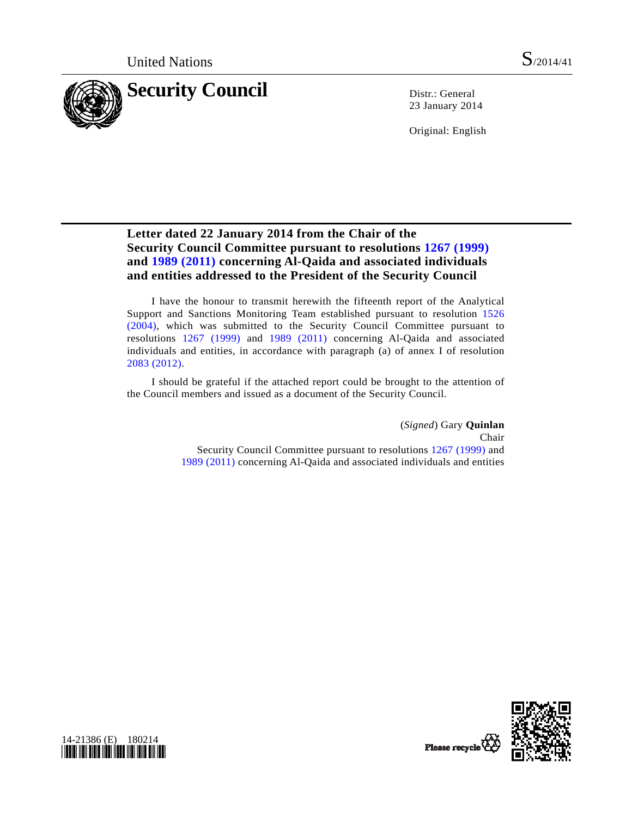

23 January 2014

Original: English

# **Letter dated 22 January 2014 from the Chair of the Security Council Committee pursuant to resolutions [1267 \(1999\)](http://undocs.org/S/RES/1267(1999)) and [1989 \(2011\)](http://undocs.org/S/RES/1989(2011)) concerning Al-Qaida and associated individuals and entities addressed to the President of the Security Council**

 I have the honour to transmit herewith the fifteenth report of the Analytical Support and Sanctions Monitoring Team established pursuant to resolution [1526](http://undocs.org/S/RES/1526(2004))  [\(2004\),](http://undocs.org/S/RES/1526(2004)) which was submitted to the Security Council Committee pursuant to resolutions [1267 \(1999\)](http://undocs.org/S/RES/1267(1999)) and [1989 \(2011\)](http://undocs.org/S/RES/1989(2011)) concerning Al-Qaida and associated individuals and entities, in accordance with paragraph (a) of annex I of resolution [2083 \(2012\).](http://undocs.org/S/RES/2083(2012))

 I should be grateful if the attached report could be brought to the attention of the Council members and issued as a document of the Security Council.

> (*Signed*) Gary **Quinlan**  Chair Security Council Committee pursuant to resolutions [1267 \(1999\)](http://undocs.org/S/RES/1267(1999)) and [1989 \(2011\)](http://undocs.org/S/RES/1989(2011)) concerning Al-Qaida and associated individuals and entities



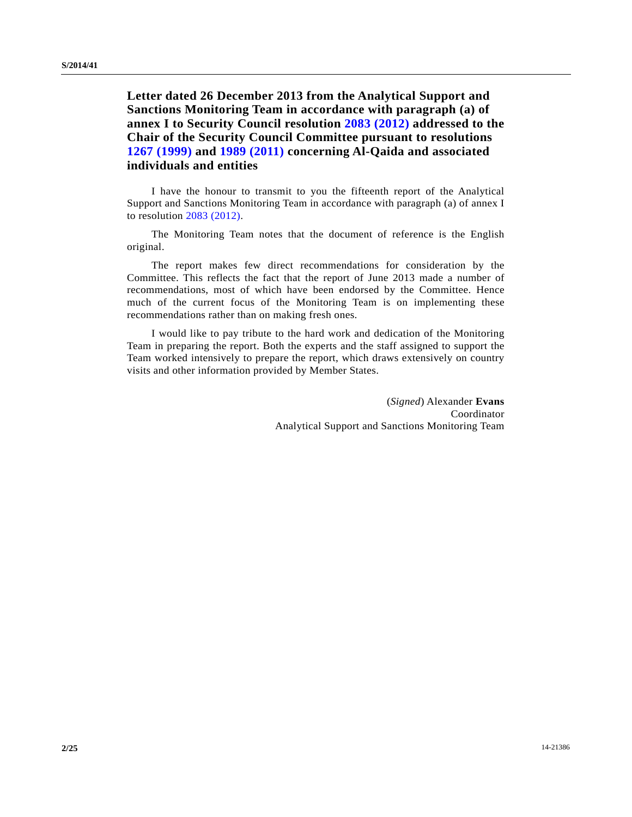**Letter dated 26 December 2013 from the Analytical Support and Sanctions Monitoring Team in accordance with paragraph (a) of annex I to Security Council resolution [2083 \(2012\)](http://undocs.org/S/RES/2083(2012)) addressed to the Chair of the Security Council Committee pursuant to resolutions [1267 \(1999\)](http://undocs.org/S/RES/1267(1999)) and [1989 \(2011\)](http://undocs.org/S/RES/1989(2011)) concerning Al-Qaida and associated individuals and entities** 

 I have the honour to transmit to you the fifteenth report of the Analytical Support and Sanctions Monitoring Team in accordance with paragraph (a) of annex I to resolution [2083 \(2012\).](http://undocs.org/S/RES/2083(2012))

 The Monitoring Team notes that the document of reference is the English original.

 The report makes few direct recommendations for consideration by the Committee. This reflects the fact that the report of June 2013 made a number of recommendations, most of which have been endorsed by the Committee. Hence much of the current focus of the Monitoring Team is on implementing these recommendations rather than on making fresh ones.

 I would like to pay tribute to the hard work and dedication of the Monitoring Team in preparing the report. Both the experts and the staff assigned to support the Team worked intensively to prepare the report, which draws extensively on country visits and other information provided by Member States.

> (*Signed*) Alexander **Evans**  Coordinator Analytical Support and Sanctions Monitoring Team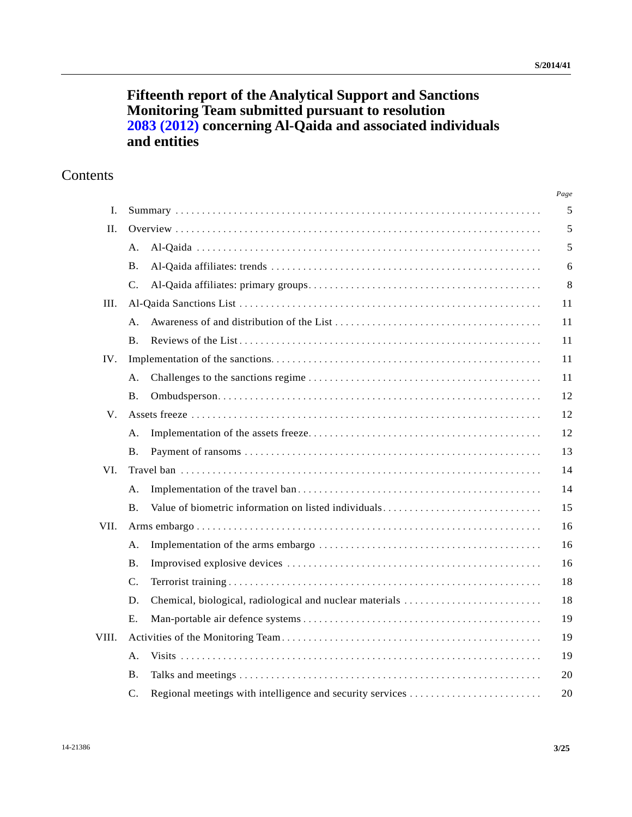# **Fifteenth report of the Analytical Support and Sanctions Monitoring Team submitted pursuant to resolution [2083 \(2012\)](http://undocs.org/S/RES/2083(2012)) concerning Al-Qaida and associated individuals and entities**

# **Contents**

|       |                |                                                           | Page |
|-------|----------------|-----------------------------------------------------------|------|
| L.    |                |                                                           |      |
| H.    |                |                                                           |      |
|       | A.             |                                                           | 5    |
|       | <b>B.</b>      |                                                           | 6    |
|       | $C_{\cdot}$    |                                                           | 8    |
| III.  |                |                                                           |      |
|       | A <sub>1</sub> |                                                           | 11   |
|       | <b>B.</b>      |                                                           | 11   |
| IV.   |                |                                                           |      |
|       | A <sub>1</sub> |                                                           | 11   |
|       | <b>B.</b>      |                                                           | 12   |
| V.    |                |                                                           |      |
|       | А.             |                                                           | 12   |
|       | <b>B.</b>      |                                                           | 13   |
| VI.   |                |                                                           |      |
|       | A.             |                                                           | 14   |
|       | <b>B.</b>      | Value of biometric information on listed individuals      | 15   |
| VII.  |                |                                                           |      |
|       | Α.             |                                                           | 16   |
|       | <b>B.</b>      |                                                           | 16   |
|       | $C_{\cdot}$    |                                                           | 18   |
|       | D.             | Chemical, biological, radiological and nuclear materials  | 18   |
|       | E.             |                                                           | 19   |
| VIII. |                |                                                           |      |
|       | A <sub>1</sub> |                                                           | 19   |
|       | <b>B.</b>      |                                                           | 20   |
|       | $\mathsf{C}$ . | Regional meetings with intelligence and security services | 20   |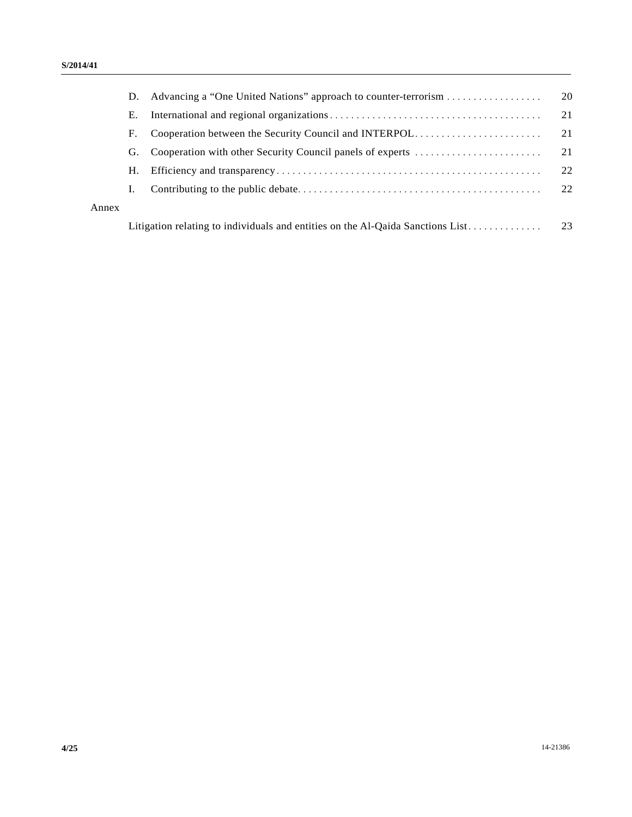|       | D.                                                                             |                                                           | - 20 |
|-------|--------------------------------------------------------------------------------|-----------------------------------------------------------|------|
|       | Е.                                                                             |                                                           | 21   |
|       | F.                                                                             | Cooperation between the Security Council and INTERPOL     | 21   |
|       | G.                                                                             | Cooperation with other Security Council panels of experts | 21   |
|       | Н.                                                                             |                                                           | 22   |
|       | Ι.                                                                             |                                                           | 22   |
| Annex |                                                                                |                                                           |      |
|       | Litigation relating to individuals and entities on the Al-Qaida Sanctions List |                                                           |      |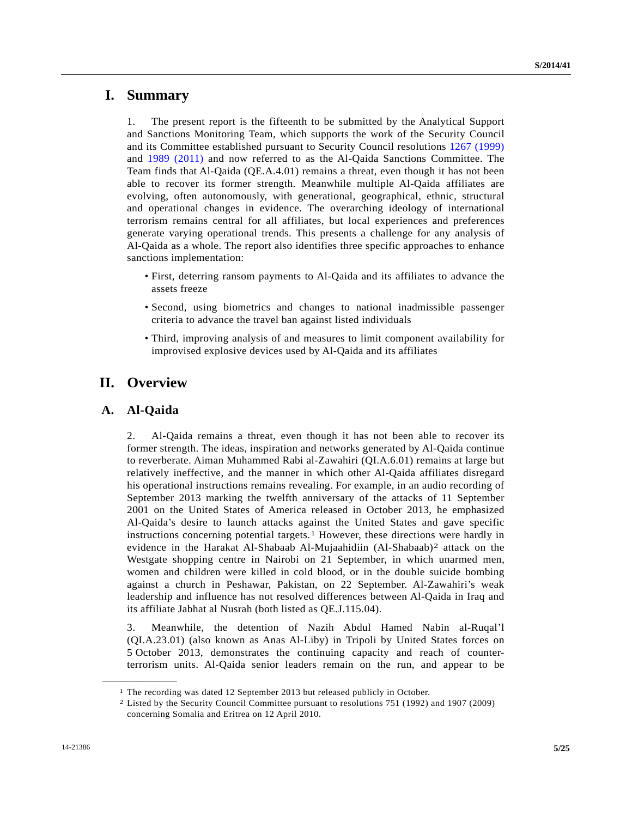# **I. Summary**

1. The present report is the fifteenth to be submitted by the Analytical Support and Sanctions Monitoring Team, which supports the work of the Security Council and its Committee established pursuant to Security Council resolutions [1267 \(1999\)](http://undocs.org/S/RES/1267(1999)) and [1989 \(2011\)](http://undocs.org/S/RES/1989(2011)) and now referred to as the Al-Qaida Sanctions Committee. The Team finds that Al-Qaida (QE.A.4.01) remains a threat, even though it has not been able to recover its former strength. Meanwhile multiple Al-Qaida affiliates are evolving, often autonomously, with generational, geographical, ethnic, structural and operational changes in evidence. The overarching ideology of international terrorism remains central for all affiliates, but local experiences and preferences generate varying operational trends. This presents a challenge for any analysis of Al-Qaida as a whole. The report also identifies three specific approaches to enhance sanctions implementation:

- First, deterring ransom payments to Al-Qaida and its affiliates to advance the assets freeze
- Second, using biometrics and changes to national inadmissible passenger criteria to advance the travel ban against listed individuals
- Third, improving analysis of and measures to limit component availability for improvised explosive devices used by Al-Qaida and its affiliates

# **II. Overview**

# **A. Al-Qaida**

<span id="page-4-1"></span><span id="page-4-0"></span>**\_\_\_\_\_\_\_\_\_\_\_\_\_\_\_\_\_\_** 

2. Al-Qaida remains a threat, even though it has not been able to recover its former strength. The ideas, inspiration and networks generated by Al-Qaida continue to reverberate. Aiman Muhammed Rabi al-Zawahiri (QI.A.6.01) remains at large but relatively ineffective, and the manner in which other Al-Qaida affiliates disregard his operational instructions remains revealing. For example, in an audio recording of September 2013 marking the twelfth anniversary of the attacks of 11 September 2001 on the United States of America released in October 2013, he emphasized Al-Qaida's desire to launch attacks against the United States and gave specific instructions concerning potential targets.<sup>[1](#page-4-0)</sup> However, these directions were hardly in evidence in the Harakat Al-Shabaab Al-Mujaahidiin (Al-Shabaab)[2](#page-4-1) attack on the Westgate shopping centre in Nairobi on 21 September, in which unarmed men, women and children were killed in cold blood, or in the double suicide bombing against a church in Peshawar, Pakistan, on 22 September. Al-Zawahiri's weak leadership and influence has not resolved differences between Al-Qaida in Iraq and its affiliate Jabhat al Nusrah (both listed as QE.J.115.04).

3. Meanwhile, the detention of Nazih Abdul Hamed Nabin al-Ruqal'l (QI.A.23.01) (also known as Anas Al-Liby) in Tripoli by United States forces on 5 October 2013, demonstrates the continuing capacity and reach of counterterrorism units. Al-Qaida senior leaders remain on the run, and appear to be

<sup>1</sup> The recording was dated 12 September 2013 but released publicly in October. 2 Listed by the Security Council Committee pursuant to resolutions 751 (1992) and 1907 (2009) concerning Somalia and Eritrea on 12 April 2010.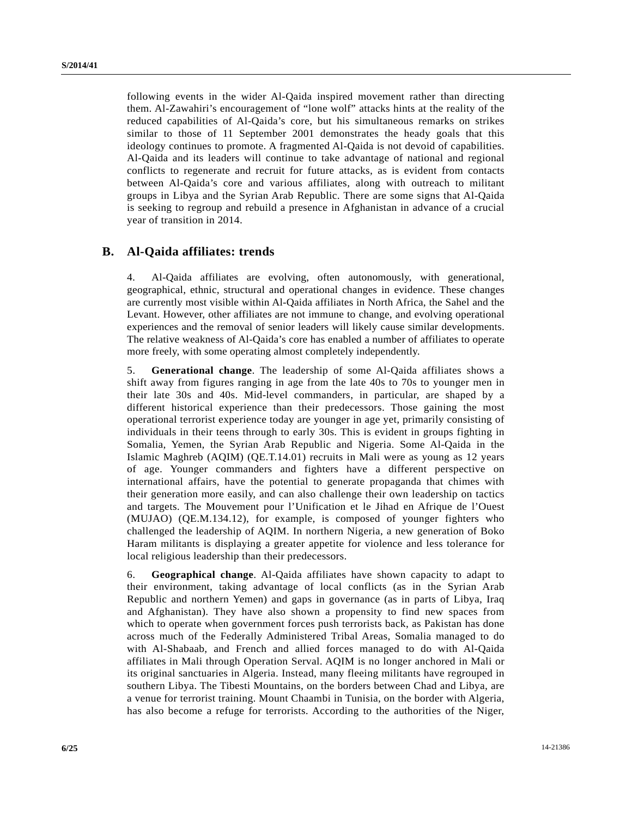following events in the wider Al-Qaida inspired movement rather than directing them. Al-Zawahiri's encouragement of "lone wolf" attacks hints at the reality of the reduced capabilities of Al-Qaida's core, but his simultaneous remarks on strikes similar to those of 11 September 2001 demonstrates the heady goals that this ideology continues to promote. A fragmented Al-Qaida is not devoid of capabilities. Al-Qaida and its leaders will continue to take advantage of national and regional conflicts to regenerate and recruit for future attacks, as is evident from contacts between Al-Qaida's core and various affiliates, along with outreach to militant groups in Libya and the Syrian Arab Republic. There are some signs that Al-Qaida is seeking to regroup and rebuild a presence in Afghanistan in advance of a crucial year of transition in 2014.

#### **B. Al-Qaida affiliates: trends**

4. Al-Qaida affiliates are evolving, often autonomously, with generational, geographical, ethnic, structural and operational changes in evidence. These changes are currently most visible within Al-Qaida affiliates in North Africa, the Sahel and the Levant. However, other affiliates are not immune to change, and evolving operational experiences and the removal of senior leaders will likely cause similar developments. The relative weakness of Al-Qaida's core has enabled a number of affiliates to operate more freely, with some operating almost completely independently.

5. **Generational change**. The leadership of some Al-Qaida affiliates shows a shift away from figures ranging in age from the late 40s to 70s to younger men in their late 30s and 40s. Mid-level commanders, in particular, are shaped by a different historical experience than their predecessors. Those gaining the most operational terrorist experience today are younger in age yet, primarily consisting of individuals in their teens through to early 30s. This is evident in groups fighting in Somalia, Yemen, the Syrian Arab Republic and Nigeria. Some Al-Qaida in the Islamic Maghreb (AQIM) (QE.T.14.01) recruits in Mali were as young as 12 years of age. Younger commanders and fighters have a different perspective on international affairs, have the potential to generate propaganda that chimes with their generation more easily, and can also challenge their own leadership on tactics and targets. The Mouvement pour l'Unification et le Jihad en Afrique de l'Ouest (MUJAO) (QE.M.134.12), for example, is composed of younger fighters who challenged the leadership of AQIM. In northern Nigeria, a new generation of Boko Haram militants is displaying a greater appetite for violence and less tolerance for local religious leadership than their predecessors.

6. **Geographical change**. Al-Qaida affiliates have shown capacity to adapt to their environment, taking advantage of local conflicts (as in the Syrian Arab Republic and northern Yemen) and gaps in governance (as in parts of Libya, Iraq and Afghanistan). They have also shown a propensity to find new spaces from which to operate when government forces push terrorists back, as Pakistan has done across much of the Federally Administered Tribal Areas, Somalia managed to do with Al-Shabaab, and French and allied forces managed to do with Al-Qaida affiliates in Mali through Operation Serval. AQIM is no longer anchored in Mali or its original sanctuaries in Algeria. Instead, many fleeing militants have regrouped in southern Libya. The Tibesti Mountains, on the borders between Chad and Libya, are a venue for terrorist training. Mount Chaambi in Tunisia, on the border with Algeria, has also become a refuge for terrorists. According to the authorities of the Niger,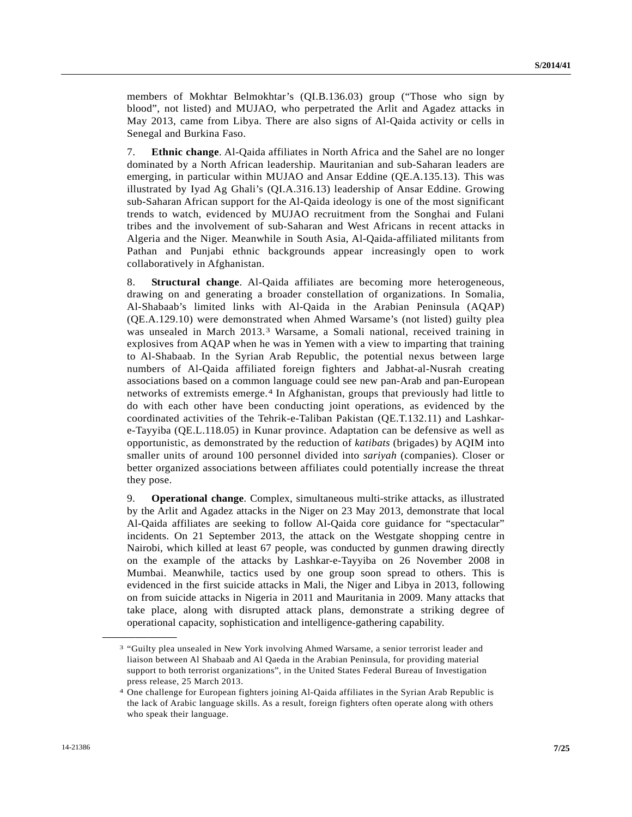members of Mokhtar Belmokhtar's (QI.B.136.03) group ("Those who sign by blood", not listed) and MUJAO, who perpetrated the Arlit and Agadez attacks in May 2013, came from Libya. There are also signs of Al-Qaida activity or cells in Senegal and Burkina Faso.

7. **Ethnic change**. Al-Qaida affiliates in North Africa and the Sahel are no longer dominated by a North African leadership. Mauritanian and sub-Saharan leaders are emerging, in particular within MUJAO and Ansar Eddine (QE.A.135.13). This was illustrated by Iyad Ag Ghali's (QI.A.316.13) leadership of Ansar Eddine. Growing sub-Saharan African support for the Al-Qaida ideology is one of the most significant trends to watch, evidenced by MUJAO recruitment from the Songhai and Fulani tribes and the involvement of sub-Saharan and West Africans in recent attacks in Algeria and the Niger. Meanwhile in South Asia, Al-Qaida-affiliated militants from Pathan and Punjabi ethnic backgrounds appear increasingly open to work collaboratively in Afghanistan.

8. **Structural change**. Al-Qaida affiliates are becoming more heterogeneous, drawing on and generating a broader constellation of organizations. In Somalia, Al-Shabaab's limited links with Al-Qaida in the Arabian Peninsula (AQAP) (QE.A.129.10) were demonstrated when Ahmed Warsame's (not listed) guilty plea was unsealed in March 2013.[3](#page-6-0) Warsame, a Somali national, received training in explosives from AQAP when he was in Yemen with a view to imparting that training to Al-Shabaab. In the Syrian Arab Republic, the potential nexus between large numbers of Al-Qaida affiliated foreign fighters and Jabhat-al-Nusrah creating associations based on a common language could see new pan-Arab and pan-European networks of extremists emerge.[4](#page-6-1) In Afghanistan, groups that previously had little to do with each other have been conducting joint operations, as evidenced by the coordinated activities of the Tehrik-e-Taliban Pakistan (QE.T.132.11) and Lashkare-Tayyiba (QE.L.118.05) in Kunar province. Adaptation can be defensive as well as opportunistic, as demonstrated by the reduction of *katibats* (brigades) by AQIM into smaller units of around 100 personnel divided into *sariyah* (companies). Closer or better organized associations between affiliates could potentially increase the threat they pose.

9. **Operational change**. Complex, simultaneous multi-strike attacks, as illustrated by the Arlit and Agadez attacks in the Niger on 23 May 2013, demonstrate that local Al-Qaida affiliates are seeking to follow Al-Qaida core guidance for "spectacular" incidents. On 21 September 2013, the attack on the Westgate shopping centre in Nairobi, which killed at least 67 people, was conducted by gunmen drawing directly on the example of the attacks by Lashkar-e-Tayyiba on 26 November 2008 in Mumbai. Meanwhile, tactics used by one group soon spread to others. This is evidenced in the first suicide attacks in Mali, the Niger and Libya in 2013, following on from suicide attacks in Nigeria in 2011 and Mauritania in 2009. Many attacks that take place, along with disrupted attack plans, demonstrate a striking degree of operational capacity, sophistication and intelligence-gathering capability.

<span id="page-6-0"></span><sup>3 &</sup>quot;Guilty plea unsealed in New York involving Ahmed Warsame, a senior terrorist leader and liaison between Al Shabaab and Al Qaeda in the Arabian Peninsula, for providing material support to both terrorist organizations", in the United States Federal Bureau of Investigation press release, 25 March 2013.

<span id="page-6-1"></span><sup>4</sup> One challenge for European fighters joining Al-Qaida affiliates in the Syrian Arab Republic is the lack of Arabic language skills. As a result, foreign fighters often operate along with others who speak their language.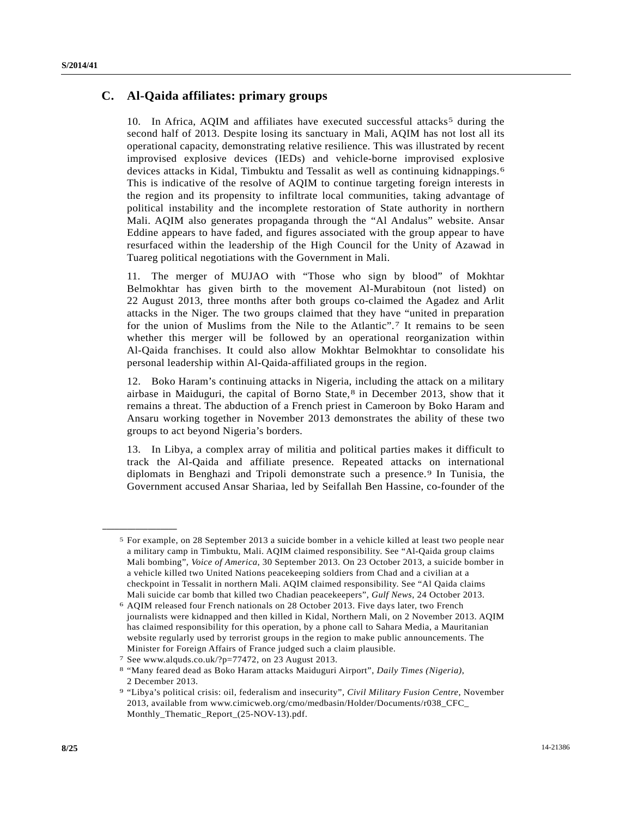### **C. Al-Qaida affiliates: primary groups**

10. In Africa, AQIM and affiliates have executed successful attacks<sup>5</sup> during the second half of 2013. Despite losing its sanctuary in Mali, AQIM has not lost all its operational capacity, demonstrating relative resilience. This was illustrated by recent improvised explosive devices (IEDs) and vehicle-borne improvised explosive devices attacks in Kidal, Timbuktu and Tessalit as well as continuing kidnappings.[6](#page-7-1) This is indicative of the resolve of AQIM to continue targeting foreign interests in the region and its propensity to infiltrate local communities, taking advantage of political instability and the incomplete restoration of State authority in northern Mali. AQIM also generates propaganda through the "Al Andalus" website. Ansar Eddine appears to have faded, and figures associated with the group appear to have resurfaced within the leadership of the High Council for the Unity of Azawad in Tuareg political negotiations with the Government in Mali.

11. The merger of MUJAO with "Those who sign by blood" of Mokhtar Belmokhtar has given birth to the movement Al-Murabitoun (not listed) on 22 August 2013, three months after both groups co-claimed the Agadez and Arlit attacks in the Niger. The two groups claimed that they have "united in preparation for the union of Muslims from the Nile to the Atlantic".[7](#page-7-2) It remains to be seen whether this merger will be followed by an operational reorganization within Al-Qaida franchises. It could also allow Mokhtar Belmokhtar to consolidate his personal leadership within Al-Qaida-affiliated groups in the region.

12. Boko Haram's continuing attacks in Nigeria, including the attack on a military airbase in Maiduguri, the capital of Borno State, $8$  in December 2013, show that it remains a threat. The abduction of a French priest in Cameroon by Boko Haram and Ansaru working together in November 2013 demonstrates the ability of these two groups to act beyond Nigeria's borders.

13. In Libya, a complex array of militia and political parties makes it difficult to track the Al-Qaida and affiliate presence. Repeated attacks on international diplomats in Benghazi and Tripoli demonstrate such a presence.[9](#page-7-4) In Tunisia, the Government accused Ansar Shariaa, led by Seifallah Ben Hassine, co-founder of the

<span id="page-7-0"></span><sup>5</sup> For example, on 28 September 2013 a suicide bomber in a vehicle killed at least two people near a military camp in Timbuktu, Mali. AQIM claimed responsibility. See "Al-Qaida group claims Mali bombing", *Voice of America*, 30 September 2013. On 23 October 2013, a suicide bomber in a vehicle killed two United Nations peacekeeping soldiers from Chad and a civilian at a checkpoint in Tessalit in northern Mali. AQIM claimed responsibility. See "Al Qaida claims Mali suicide car bomb that killed two Chadian peacekeepers", *Gulf News*, 24 October 2013.<br><sup>6</sup> AQIM released four French nationals on 28 October 2013. Five days later, two French

<span id="page-7-1"></span>journalists were kidnapped and then killed in Kidal, Northern Mali, on 2 November 2013. AQIM has claimed responsibility for this operation, by a phone call to Sahara Media, a Mauritanian website regularly used by terrorist groups in the region to make public announcements. The Minister for Foreign Affairs of France judged such a claim plausible.

<sup>7</sup> See www.alquds.co.uk/?p=77472, on 23 August 2013.

<span id="page-7-3"></span><span id="page-7-2"></span><sup>8 &</sup>quot;Many feared dead as Boko Haram attacks Maiduguri Airport", *Daily Times (Nigeria)*, 2 December 2013.

<span id="page-7-4"></span><sup>9 &</sup>quot;Libya's political crisis: oil, federalism and insecurity", *Civil Military Fusion Centre*, November 2013, available from www.cimicweb.org/cmo/medbasin/Holder/Documents/r038\_CFC\_ Monthly Thematic Report (25-NOV-13).pdf.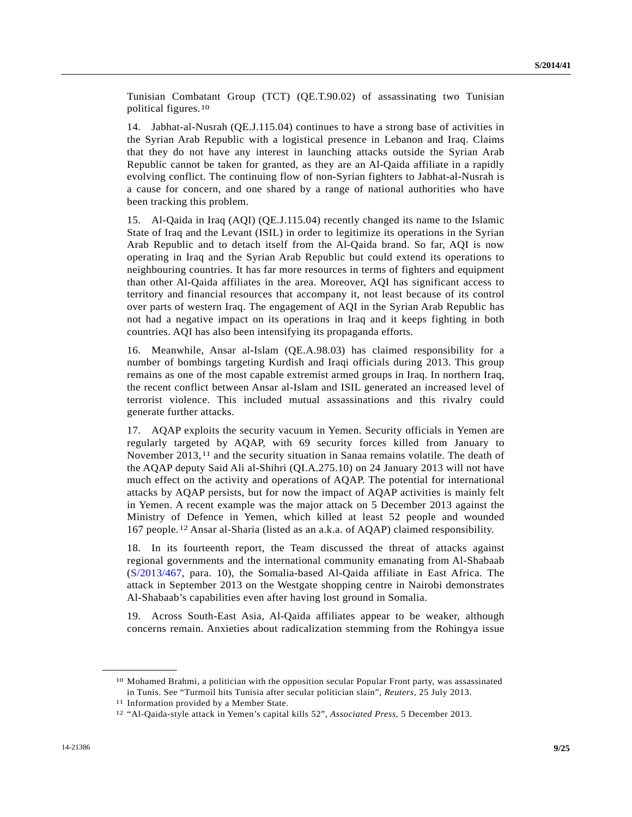Tunisian Combatant Group (TCT) (QE.T.90.02) of assassinating two Tunisian political figures.[10](#page-8-0)

14. Jabhat-al-Nusrah (QE.J.115.04) continues to have a strong base of activities in the Syrian Arab Republic with a logistical presence in Lebanon and Iraq. Claims that they do not have any interest in launching attacks outside the Syrian Arab Republic cannot be taken for granted, as they are an Al-Qaida affiliate in a rapidly evolving conflict. The continuing flow of non-Syrian fighters to Jabhat-al-Nusrah is a cause for concern, and one shared by a range of national authorities who have been tracking this problem.

15. Al-Qaida in Iraq (AQI) (QE.J.115.04) recently changed its name to the Islamic State of Iraq and the Levant (ISIL) in order to legitimize its operations in the Syrian Arab Republic and to detach itself from the Al-Qaida brand. So far, AQI is now operating in Iraq and the Syrian Arab Republic but could extend its operations to neighbouring countries. It has far more resources in terms of fighters and equipment than other Al-Qaida affiliates in the area. Moreover, AQI has significant access to territory and financial resources that accompany it, not least because of its control over parts of western Iraq. The engagement of AQI in the Syrian Arab Republic has not had a negative impact on its operations in Iraq and it keeps fighting in both countries. AQI has also been intensifying its propaganda efforts.

16. Meanwhile, Ansar al-Islam (QE.A.98.03) has claimed responsibility for a number of bombings targeting Kurdish and Iraqi officials during 2013. This group remains as one of the most capable extremist armed groups in Iraq. In northern Iraq, the recent conflict between Ansar al-Islam and ISIL generated an increased level of terrorist violence. This included mutual assassinations and this rivalry could generate further attacks.

17. AQAP exploits the security vacuum in Yemen. Security officials in Yemen are regularly targeted by AQAP, with 69 security forces killed from January to November 2013,<sup>[11](#page-8-1)</sup> and the security situation in Sanaa remains volatile. The death of the AQAP deputy Said Ali al-Shihri (QI.A.275.10) on 24 January 2013 will not have much effect on the activity and operations of AQAP. The potential for international attacks by AQAP persists, but for now the impact of AQAP activities is mainly felt in Yemen. A recent example was the major attack on 5 December 2013 against the Ministry of Defence in Yemen, which killed at least 52 people and wounded 167 people.[1](#page-8-2)2 Ansar al-Sharia (listed as an a.k.a. of AQAP) claimed responsibility.

18. In its fourteenth report, the Team discussed the threat of attacks against regional governments and the international community emanating from Al-Shabaab ([S/2013/467](http://undocs.org/S/2013/467), para. 10), the Somalia-based Al-Qaida affiliate in East Africa. The attack in September 2013 on the Westgate shopping centre in Nairobi demonstrates Al-Shabaab's capabilities even after having lost ground in Somalia.

19. Across South-East Asia, Al-Qaida affiliates appear to be weaker, although concerns remain. Anxieties about radicalization stemming from the Rohingya issue

<span id="page-8-0"></span><sup>10</sup> Mohamed Brahmi, a politician with the opposition secular Popular Front party, was assassinated in Tunis. See "Turmoil hits Tunisia after secular politician slain", *Reuters*, 25 July 2013. 11 Information provided by a Member State.

<span id="page-8-2"></span><span id="page-8-1"></span><sup>12 &</sup>quot;Al-Qaida-style attack in Yemen's capital kills 52", *Associated Press*, 5 December 2013.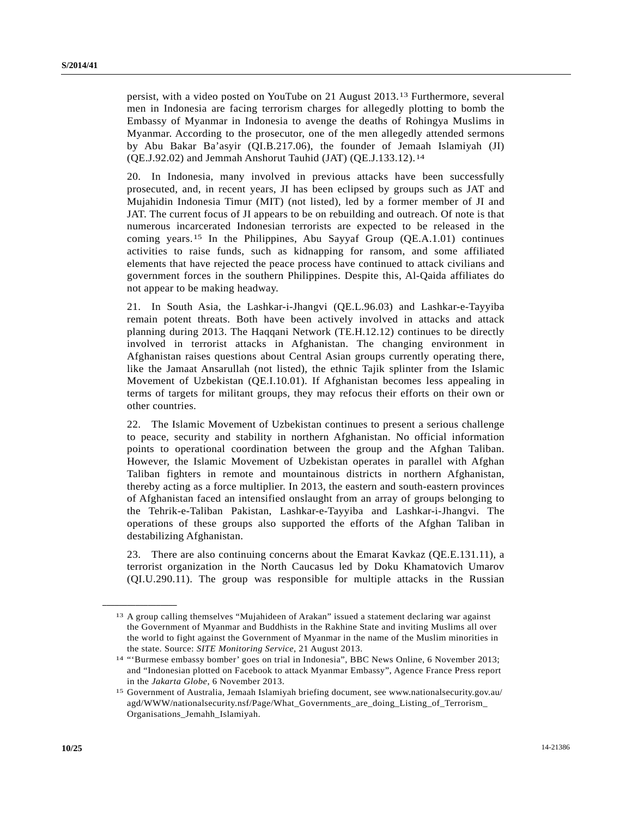persist, with a video posted on YouTube on 21 August 2013.[1](#page-9-0)3 Furthermore, several men in Indonesia are facing terrorism charges for allegedly plotting to bomb the Embassy of Myanmar in Indonesia to avenge the deaths of Rohingya Muslims in Myanmar. According to the prosecutor, one of the men allegedly attended sermons by Abu Bakar Ba'asyir (QI.B.217.06), the founder of Jemaah Islamiyah (JI) (QE.J.92.02) and Jemmah Anshorut Tauhid (JAT) (QE.J.133.12).[1](#page-9-1)4

20. In Indonesia, many involved in previous attacks have been successfully prosecuted, and, in recent years, JI has been eclipsed by groups such as JAT and Mujahidin Indonesia Timur (MIT) (not listed), led by a former member of JI and JAT. The current focus of JI appears to be on rebuilding and outreach. Of note is that numerous incarcerated Indonesian terrorists are expected to be released in the coming years.[15](#page-9-2) In the Philippines, Abu Sayyaf Group (QE.A.1.01) continues activities to raise funds, such as kidnapping for ransom, and some affiliated elements that have rejected the peace process have continued to attack civilians and government forces in the southern Philippines. Despite this, Al-Qaida affiliates do not appear to be making headway.

21. In South Asia, the Lashkar-i-Jhangvi (QE.L.96.03) and Lashkar-e-Tayyiba remain potent threats. Both have been actively involved in attacks and attack planning during 2013. The Haqqani Network (TE.H.12.12) continues to be directly involved in terrorist attacks in Afghanistan. The changing environment in Afghanistan raises questions about Central Asian groups currently operating there, like the Jamaat Ansarullah (not listed), the ethnic Tajik splinter from the Islamic Movement of Uzbekistan (QE.I.10.01). If Afghanistan becomes less appealing in terms of targets for militant groups, they may refocus their efforts on their own or other countries.

22. The Islamic Movement of Uzbekistan continues to present a serious challenge to peace, security and stability in northern Afghanistan. No official information points to operational coordination between the group and the Afghan Taliban. However, the Islamic Movement of Uzbekistan operates in parallel with Afghan Taliban fighters in remote and mountainous districts in northern Afghanistan, thereby acting as a force multiplier. In 2013, the eastern and south-eastern provinces of Afghanistan faced an intensified onslaught from an array of groups belonging to the Tehrik-e-Taliban Pakistan, Lashkar-e-Tayyiba and Lashkar-i-Jhangvi. The operations of these groups also supported the efforts of the Afghan Taliban in destabilizing Afghanistan.

23. There are also continuing concerns about the Emarat Kavkaz (QE.E.131.11), a terrorist organization in the North Caucasus led by Doku Khamatovich Umarov (QI.U.290.11). The group was responsible for multiple attacks in the Russian

<span id="page-9-0"></span><sup>13</sup> A group calling themselves "Mujahideen of Arakan" issued a statement declaring war against the Government of Myanmar and Buddhists in the Rakhine State and inviting Muslims all over the world to fight against the Government of Myanmar in the name of the Muslim minorities in

<span id="page-9-1"></span>the state. Source: *SITE Monitoring Service*, 21 August 2013. 14 "'Burmese embassy bomber' goes on trial in Indonesia", BBC News Online, 6 November 2013; and "Indonesian plotted on Facebook to attack Myanmar Embassy", Agence France Press report in the *Jakarta Globe*, 6 November 2013.<br><sup>15</sup> Government of Australia, Jemaah Islamiyah briefing document, see www.nationalsecurity.gov.au/

<span id="page-9-2"></span>agd/WWW/nationalsecurity.nsf/Page/What\_Governments\_are\_doing\_Listing\_of\_Terrorism\_ Organisations\_Jemahh\_Islamiyah.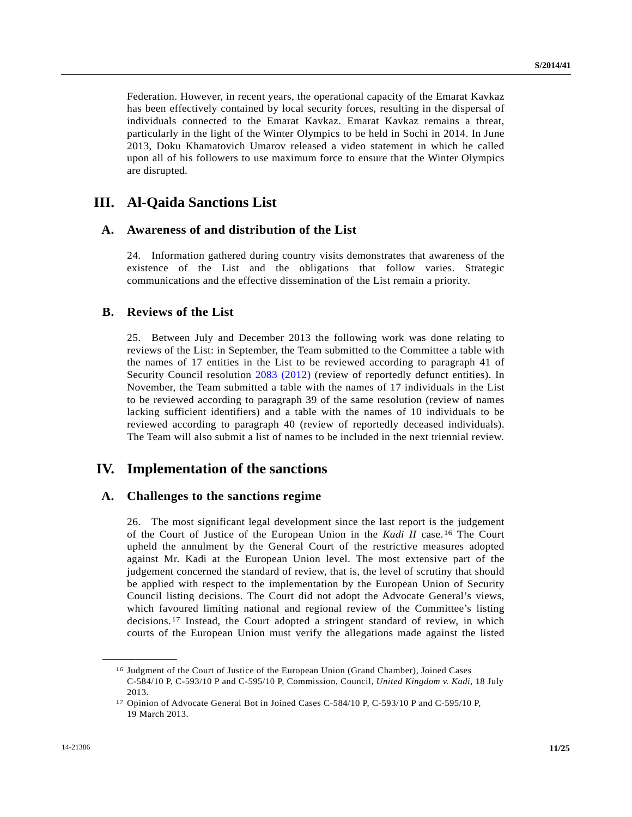Federation. However, in recent years, the operational capacity of the Emarat Kavkaz has been effectively contained by local security forces, resulting in the dispersal of individuals connected to the Emarat Kavkaz. Emarat Kavkaz remains a threat, particularly in the light of the Winter Olympics to be held in Sochi in 2014. In June 2013, Doku Khamatovich Umarov released a video statement in which he called upon all of his followers to use maximum force to ensure that the Winter Olympics are disrupted.

# **III. Al-Qaida Sanctions List**

#### **A. Awareness of and distribution of the List**

24. Information gathered during country visits demonstrates that awareness of the existence of the List and the obligations that follow varies. Strategic communications and the effective dissemination of the List remain a priority.

#### **B. Reviews of the List**

25. Between July and December 2013 the following work was done relating to reviews of the List: in September, the Team submitted to the Committee a table with the names of 17 entities in the List to be reviewed according to paragraph 41 of Security Council resolution [2083 \(2012\)](http://undocs.org/S/RES/2083(2012)) (review of reportedly defunct entities). In November, the Team submitted a table with the names of 17 individuals in the List to be reviewed according to paragraph 39 of the same resolution (review of names lacking sufficient identifiers) and a table with the names of 10 individuals to be reviewed according to paragraph 40 (review of reportedly deceased individuals). The Team will also submit a list of names to be included in the next triennial review.

# **IV. Implementation of the sanctions**

#### **A. Challenges to the sanctions regime**

26. The most significant legal development since the last report is the judgement of the Court of Justice of the European Union in the *Kadi II* case.[1](#page-10-0)6 The Court upheld the annulment by the General Court of the restrictive measures adopted against Mr. Kadi at the European Union level. The most extensive part of the judgement concerned the standard of review, that is, the level of scrutiny that should be applied with respect to the implementation by the European Union of Security Council listing decisions. The Court did not adopt the Advocate General's views, which favoured limiting national and regional review of the Committee's listing decisions.[17](#page-10-1) Instead, the Court adopted a stringent standard of review, in which courts of the European Union must verify the allegations made against the listed

<span id="page-10-0"></span><sup>16</sup> Judgment of the Court of Justice of the European Union (Grand Chamber), Joined Cases C-584/10 P, C-593/10 P and C-595/10 P, Commission, Council, *United Kingdom v. Kadi*, 18 July 2013.

<span id="page-10-1"></span><sup>&</sup>lt;sup>17</sup> Opinion of Advocate General Bot in Joined Cases C-584/10 P, C-593/10 P and C-595/10 P, 19 March 2013.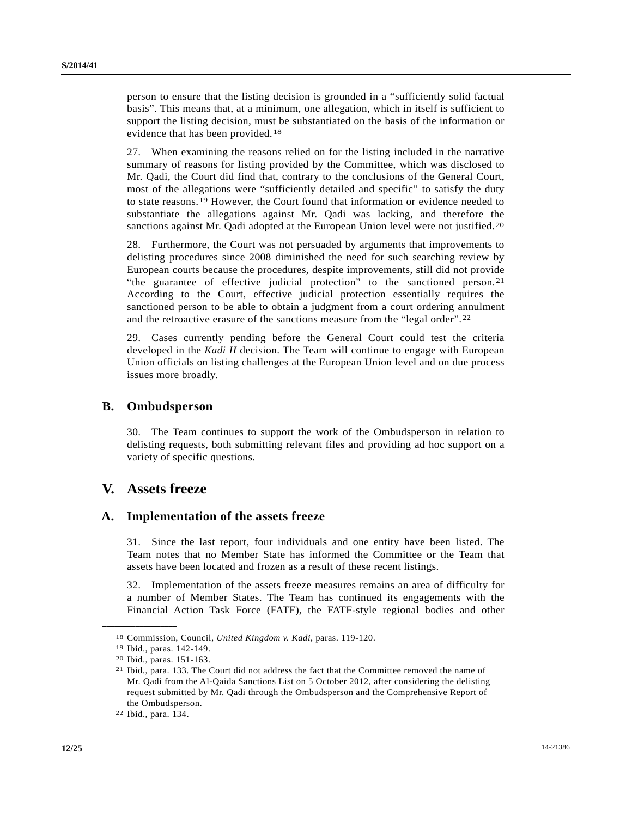person to ensure that the listing decision is grounded in a "sufficiently solid factual basis". This means that, at a minimum, one allegation, which in itself is sufficient to support the listing decision, must be substantiated on the basis of the information or evidence that has been provided.[18](#page-11-0)

27. When examining the reasons relied on for the listing included in the narrative summary of reasons for listing provided by the Committee, which was disclosed to Mr. Qadi, the Court did find that, contrary to the conclusions of the General Court, most of the allegations were "sufficiently detailed and specific" to satisfy the duty to state reasons.[1](#page-11-1)9 However, the Court found that information or evidence needed to substantiate the allegations against Mr. Qadi was lacking, and therefore the sanctions against Mr. Qadi adopted at the European Union level were not justified.<sup>[2](#page-11-2)0</sup>

28. Furthermore, the Court was not persuaded by arguments that improvements to delisting procedures since 2008 diminished the need for such searching review by European courts because the procedures, despite improvements, still did not provide "the guarantee of effective judicial protection" to the sanctioned person.[21](#page-11-3) According to the Court, effective judicial protection essentially requires the sanctioned person to be able to obtain a judgment from a court ordering annulment and the retroactive erasure of the sanctions measure from the "legal order".[2](#page-11-4)2

29. Cases currently pending before the General Court could test the criteria developed in the *Kadi II* decision. The Team will continue to engage with European Union officials on listing challenges at the European Union level and on due process issues more broadly.

#### **B. Ombudsperson**

30. The Team continues to support the work of the Ombudsperson in relation to delisting requests, both submitting relevant files and providing ad hoc support on a variety of specific questions.

# **V. Assets freeze**

#### **A. Implementation of the assets freeze**

31. Since the last report, four individuals and one entity have been listed. The Team notes that no Member State has informed the Committee or the Team that assets have been located and frozen as a result of these recent listings.

32. Implementation of the assets freeze measures remains an area of difficulty for a number of Member States. The Team has continued its engagements with the Financial Action Task Force (FATF), the FATF-style regional bodies and other

<span id="page-11-1"></span><span id="page-11-0"></span><sup>18</sup> Commission, Council, *United Kingdom v. Kadi*, paras. 119-120. 19 Ibid., paras. 142-149.

<span id="page-11-2"></span><sup>20</sup> Ibid., paras. 151-163.

<span id="page-11-3"></span><sup>21</sup> Ibid., para. 133. The Court did not address the fact that the Committee removed the name of Mr. Qadi from the Al-Qaida Sanctions List on 5 October 2012, after considering the delisting request submitted by Mr. Qadi through the Ombudsperson and the Comprehensive Report of the Ombudsperson.

<span id="page-11-4"></span><sup>22</sup> Ibid., para. 134.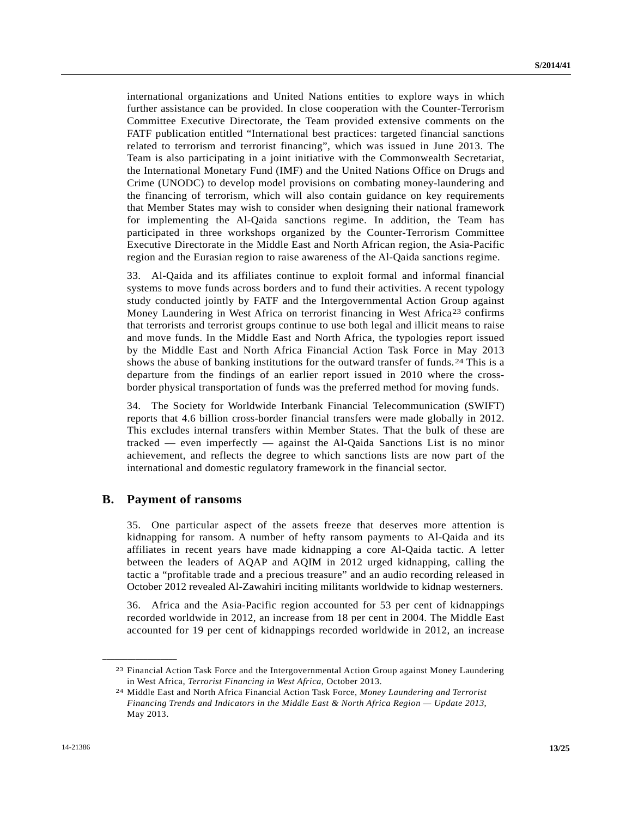international organizations and United Nations entities to explore ways in which further assistance can be provided. In close cooperation with the Counter-Terrorism Committee Executive Directorate, the Team provided extensive comments on the FATF publication entitled "International best practices: targeted financial sanctions related to terrorism and terrorist financing", which was issued in June 2013. The Team is also participating in a joint initiative with the Commonwealth Secretariat, the International Monetary Fund (IMF) and the United Nations Office on Drugs and Crime (UNODC) to develop model provisions on combating money-laundering and the financing of terrorism, which will also contain guidance on key requirements that Member States may wish to consider when designing their national framework for implementing the Al-Qaida sanctions regime. In addition, the Team has participated in three workshops organized by the Counter-Terrorism Committee Executive Directorate in the Middle East and North African region, the Asia-Pacific region and the Eurasian region to raise awareness of the Al-Qaida sanctions regime.

33. Al-Qaida and its affiliates continue to exploit formal and informal financial systems to move funds across borders and to fund their activities. A recent typology study conducted jointly by FATF and the Intergovernmental Action Group against Money Laundering in West Africa on terrorist financing in West Africa[23](#page-12-0) confirms that terrorists and terrorist groups continue to use both legal and illicit means to raise and move funds. In the Middle East and North Africa, the typologies report issued by the Middle East and North Africa Financial Action Task Force in May 2013 shows the abuse of banking institutions for the outward transfer of funds.<sup>[2](#page-12-1)4</sup> This is a departure from the findings of an earlier report issued in 2010 where the crossborder physical transportation of funds was the preferred method for moving funds.

34. The Society for Worldwide Interbank Financial Telecommunication (SWIFT) reports that 4.6 billion cross-border financial transfers were made globally in 2012. This excludes internal transfers within Member States. That the bulk of these are tracked — even imperfectly — against the Al-Qaida Sanctions List is no minor achievement, and reflects the degree to which sanctions lists are now part of the international and domestic regulatory framework in the financial sector.

#### **B. Payment of ransoms**

<span id="page-12-1"></span><span id="page-12-0"></span>**\_\_\_\_\_\_\_\_\_\_\_\_\_\_\_\_\_\_** 

35. One particular aspect of the assets freeze that deserves more attention is kidnapping for ransom. A number of hefty ransom payments to Al-Qaida and its affiliates in recent years have made kidnapping a core Al-Qaida tactic. A letter between the leaders of AQAP and AQIM in 2012 urged kidnapping, calling the tactic a "profitable trade and a precious treasure" and an audio recording released in October 2012 revealed Al-Zawahiri inciting militants worldwide to kidnap westerners.

36. Africa and the Asia-Pacific region accounted for 53 per cent of kidnappings recorded worldwide in 2012, an increase from 18 per cent in 2004. The Middle East accounted for 19 per cent of kidnappings recorded worldwide in 2012, an increase

<sup>23</sup> Financial Action Task Force and the Intergovernmental Action Group against Money Laundering in West Africa, *Terrorist Financing in West Africa*, October 2013. 24 Middle East and North Africa Financial Action Task Force, *Money Laundering and Terrorist* 

*Financing Trends and Indicators in the Middle East & North Africa Region — Update 2013*, May 2013.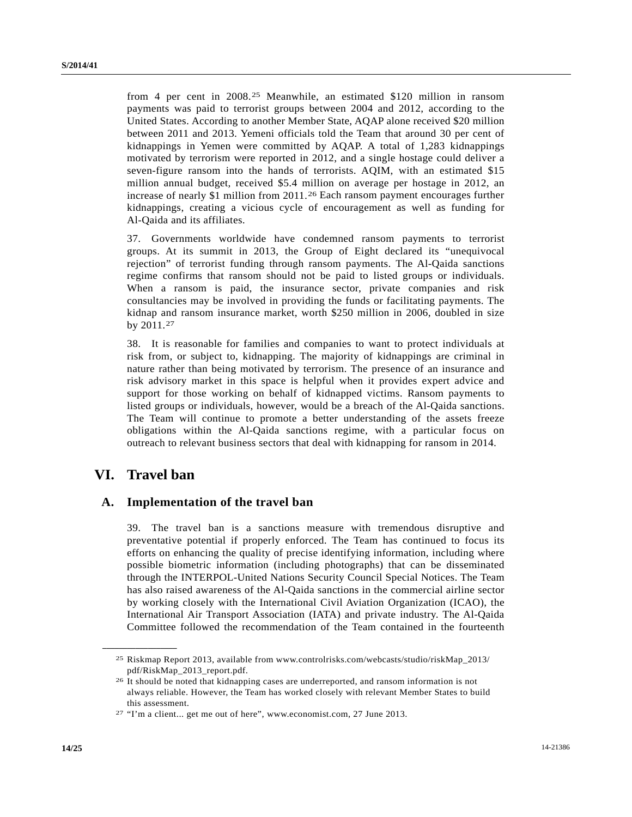from 4 per cent in 2008.[2](#page-13-0)5 Meanwhile, an estimated \$120 million in ransom payments was paid to terrorist groups between 2004 and 2012, according to the United States. According to another Member State, AQAP alone received \$20 million between 2011 and 2013. Yemeni officials told the Team that around 30 per cent of kidnappings in Yemen were committed by AQAP. A total of 1,283 kidnappings motivated by terrorism were reported in 2012, and a single hostage could deliver a seven-figure ransom into the hands of terrorists. AQIM, with an estimated \$15 million annual budget, received \$5.4 million on average per hostage in 2012, an increase of nearly \$1 million from 2011.[26](#page-13-1) Each ransom payment encourages further kidnappings, creating a vicious cycle of encouragement as well as funding for Al-Qaida and its affiliates.

37. Governments worldwide have condemned ransom payments to terrorist groups. At its summit in 2013, the Group of Eight declared its "unequivocal rejection" of terrorist funding through ransom payments. The Al-Qaida sanctions regime confirms that ransom should not be paid to listed groups or individuals. When a ransom is paid, the insurance sector, private companies and risk consultancies may be involved in providing the funds or facilitating payments. The kidnap and ransom insurance market, worth \$250 million in 2006, doubled in size by 2011.[27](#page-13-2)

38. It is reasonable for families and companies to want to protect individuals at risk from, or subject to, kidnapping. The majority of kidnappings are criminal in nature rather than being motivated by terrorism. The presence of an insurance and risk advisory market in this space is helpful when it provides expert advice and support for those working on behalf of kidnapped victims. Ransom payments to listed groups or individuals, however, would be a breach of the Al-Qaida sanctions. The Team will continue to promote a better understanding of the assets freeze obligations within the Al-Qaida sanctions regime, with a particular focus on outreach to relevant business sectors that deal with kidnapping for ransom in 2014.

# **VI. Travel ban**

<span id="page-13-1"></span><span id="page-13-0"></span>**\_\_\_\_\_\_\_\_\_\_\_\_\_\_\_\_\_\_** 

#### **A. Implementation of the travel ban**

39. The travel ban is a sanctions measure with tremendous disruptive and preventative potential if properly enforced. The Team has continued to focus its efforts on enhancing the quality of precise identifying information, including where possible biometric information (including photographs) that can be disseminated through the INTERPOL-United Nations Security Council Special Notices. The Team has also raised awareness of the Al-Qaida sanctions in the commercial airline sector by working closely with the International Civil Aviation Organization (ICAO), the International Air Transport Association (IATA) and private industry. The Al-Qaida Committee followed the recommendation of the Team contained in the fourteenth

<sup>25</sup> Riskmap Report 2013, available from www.controlrisks.com/webcasts/studio/riskMap\_2013/ pdf/RiskMap\_2013\_report.pdf.

<sup>26</sup> It should be noted that kidnapping cases are underreported, and ransom information is not always reliable. However, the Team has worked closely with relevant Member States to build this assessment.

<span id="page-13-2"></span><sup>27 &</sup>quot;I'm a client... get me out of here", www.economist.com, 27 June 2013.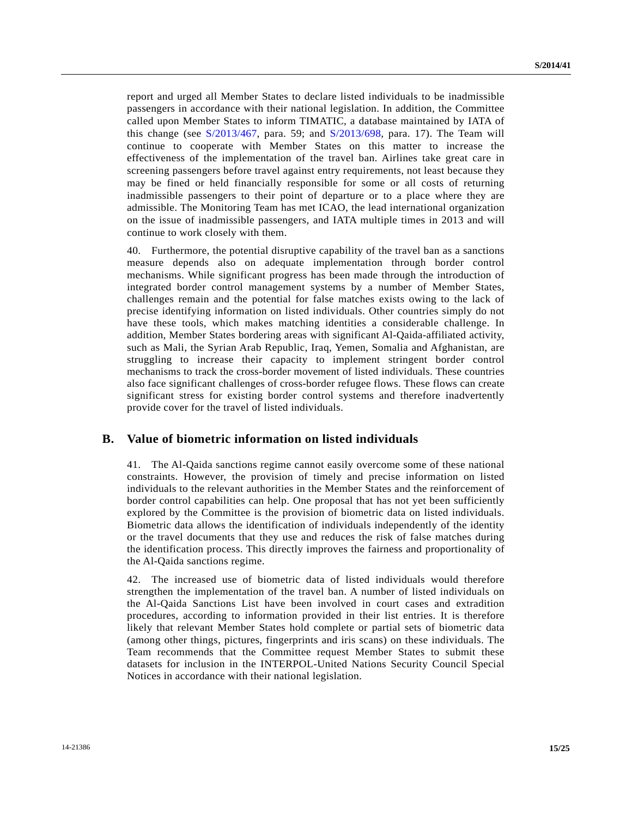report and urged all Member States to declare listed individuals to be inadmissible passengers in accordance with their national legislation. In addition, the Committee called upon Member States to inform TIMATIC, a database maintained by IATA of this change (see [S/2013/467](http://undocs.org/S/2013/467), para. 59; and [S/2013/698](http://undocs.org/S/2013/698), para. 17). The Team will continue to cooperate with Member States on this matter to increase the effectiveness of the implementation of the travel ban. Airlines take great care in screening passengers before travel against entry requirements, not least because they may be fined or held financially responsible for some or all costs of returning inadmissible passengers to their point of departure or to a place where they are admissible. The Monitoring Team has met ICAO, the lead international organization on the issue of inadmissible passengers, and IATA multiple times in 2013 and will continue to work closely with them.

40. Furthermore, the potential disruptive capability of the travel ban as a sanctions measure depends also on adequate implementation through border control mechanisms. While significant progress has been made through the introduction of integrated border control management systems by a number of Member States, challenges remain and the potential for false matches exists owing to the lack of precise identifying information on listed individuals. Other countries simply do not have these tools, which makes matching identities a considerable challenge. In addition, Member States bordering areas with significant Al-Qaida-affiliated activity, such as Mali, the Syrian Arab Republic, Iraq, Yemen, Somalia and Afghanistan, are struggling to increase their capacity to implement stringent border control mechanisms to track the cross-border movement of listed individuals. These countries also face significant challenges of cross-border refugee flows. These flows can create significant stress for existing border control systems and therefore inadvertently provide cover for the travel of listed individuals.

## **B. Value of biometric information on listed individuals**

41. The Al-Qaida sanctions regime cannot easily overcome some of these national constraints. However, the provision of timely and precise information on listed individuals to the relevant authorities in the Member States and the reinforcement of border control capabilities can help. One proposal that has not yet been sufficiently explored by the Committee is the provision of biometric data on listed individuals. Biometric data allows the identification of individuals independently of the identity or the travel documents that they use and reduces the risk of false matches during the identification process. This directly improves the fairness and proportionality of the Al-Qaida sanctions regime.

42. The increased use of biometric data of listed individuals would therefore strengthen the implementation of the travel ban. A number of listed individuals on the Al-Qaida Sanctions List have been involved in court cases and extradition procedures, according to information provided in their list entries. It is therefore likely that relevant Member States hold complete or partial sets of biometric data (among other things, pictures, fingerprints and iris scans) on these individuals. The Team recommends that the Committee request Member States to submit these datasets for inclusion in the INTERPOL-United Nations Security Council Special Notices in accordance with their national legislation.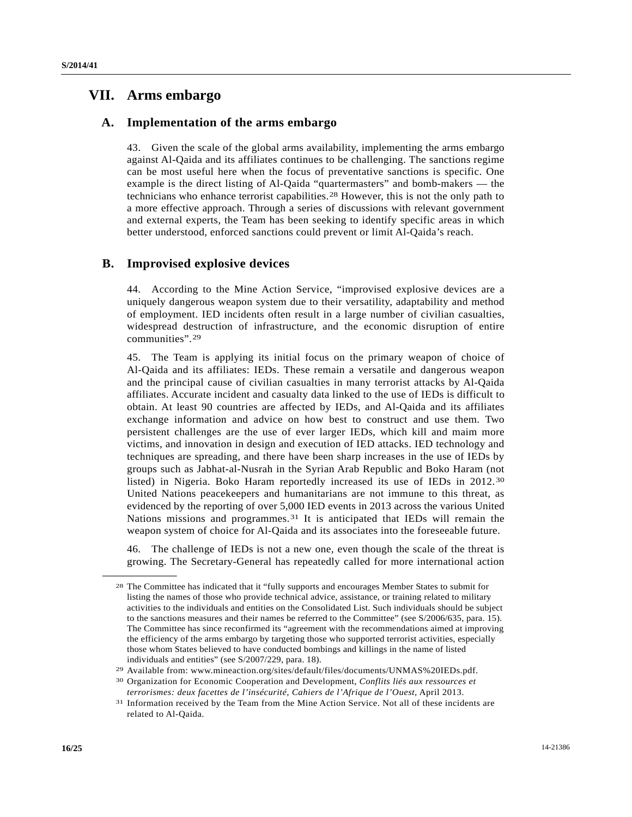## **VII. Arms embargo**

#### **A. Implementation of the arms embargo**

43. Given the scale of the global arms availability, implementing the arms embargo against Al-Qaida and its affiliates continues to be challenging. The sanctions regime can be most useful here when the focus of preventative sanctions is specific. One example is the direct listing of Al-Qaida "quartermasters" and bomb-makers — the technicians who enhance terrorist capabilities.[2](#page-15-0)8 However, this is not the only path to a more effective approach. Through a series of discussions with relevant government and external experts, the Team has been seeking to identify specific areas in which better understood, enforced sanctions could prevent or limit Al-Qaida's reach.

#### **B. Improvised explosive devices**

44. According to the Mine Action Service, "improvised explosive devices are a uniquely dangerous weapon system due to their versatility, adaptability and method of employment. IED incidents often result in a large number of civilian casualties, widespread destruction of infrastructure, and the economic disruption of entire communities".[29](#page-15-1)

45. The Team is applying its initial focus on the primary weapon of choice of Al-Qaida and its affiliates: IEDs. These remain a versatile and dangerous weapon and the principal cause of civilian casualties in many terrorist attacks by Al-Qaida affiliates. Accurate incident and casualty data linked to the use of IEDs is difficult to obtain. At least 90 countries are affected by IEDs, and Al-Qaida and its affiliates exchange information and advice on how best to construct and use them. Two persistent challenges are the use of ever larger IEDs, which kill and maim more victims, and innovation in design and execution of IED attacks. IED technology and techniques are spreading, and there have been sharp increases in the use of IEDs by groups such as Jabhat-al-Nusrah in the Syrian Arab Republic and Boko Haram (not listed) in Nigeria. Boko Haram reportedly increased its use of IEDs in 2012.[30](#page-15-2) United Nations peacekeepers and humanitarians are not immune to this threat, as evidenced by the reporting of over 5,000 IED events in 2013 across the various United Nations missions and programmes.[3](#page-15-3)1 It is anticipated that IEDs will remain the weapon system of choice for Al-Qaida and its associates into the foreseeable future.

46. The challenge of IEDs is not a new one, even though the scale of the threat is growing. The Secretary-General has repeatedly called for more international action

<span id="page-15-0"></span><sup>28</sup> The Committee has indicated that it "fully supports and encourages Member States to submit for listing the names of those who provide technical advice, assistance, or training related to military activities to the individuals and entities on the Consolidated List. Such individuals should be subject to the sanctions measures and their names be referred to the Committee" (see S/2006/635, para. 15). The Committee has since reconfirmed its "agreement with the recommendations aimed at improving the efficiency of the arms embargo by targeting those who supported terrorist activities, especially those whom States believed to have conducted bombings and killings in the name of listed

<span id="page-15-1"></span>individuals and entities" (see S/2007/229, para. 18).<br><sup>29</sup> Available from: www.mineaction.org/sites/default/files/documents/UNMAS%20IEDs.pdf.<br><sup>30</sup> Organization for Economic Cooperation and Development, *Conflits liés aux r* 

<span id="page-15-2"></span>*terrorismes: deux facettes de l'insécurité, Cahiers de l'Afrique de l'Ouest*, April 2013.<br><sup>31</sup> Information received by the Team from the Mine Action Service. Not all of these incidents are

<span id="page-15-3"></span>related to Al-Qaida.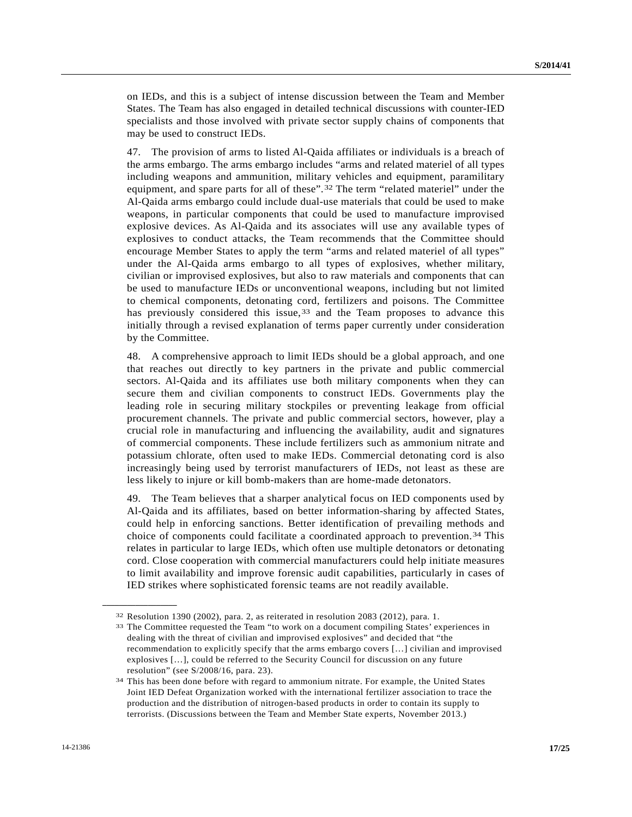on IEDs, and this is a subject of intense discussion between the Team and Member States. The Team has also engaged in detailed technical discussions with counter-IED specialists and those involved with private sector supply chains of components that may be used to construct IEDs.

47. The provision of arms to listed Al-Qaida affiliates or individuals is a breach of the arms embargo. The arms embargo includes "arms and related materiel of all types including weapons and ammunition, military vehicles and equipment, paramilitary equipment, and spare parts for all of these".[3](#page-16-0)2 The term "related materiel" under the Al-Qaida arms embargo could include dual-use materials that could be used to make weapons, in particular components that could be used to manufacture improvised explosive devices. As Al-Qaida and its associates will use any available types of explosives to conduct attacks, the Team recommends that the Committee should encourage Member States to apply the term "arms and related materiel of all types" under the Al-Qaida arms embargo to all types of explosives, whether military, civilian or improvised explosives, but also to raw materials and components that can be used to manufacture IEDs or unconventional weapons, including but not limited to chemical components, detonating cord, fertilizers and poisons. The Committee has previously considered this issue,  $33$  $33$  and the Team proposes to advance this initially through a revised explanation of terms paper currently under consideration by the Committee.

48. A comprehensive approach to limit IEDs should be a global approach, and one that reaches out directly to key partners in the private and public commercial sectors. Al-Qaida and its affiliates use both military components when they can secure them and civilian components to construct IEDs. Governments play the leading role in securing military stockpiles or preventing leakage from official procurement channels. The private and public commercial sectors, however, play a crucial role in manufacturing and influencing the availability, audit and signatures of commercial components. These include fertilizers such as ammonium nitrate and potassium chlorate, often used to make IEDs. Commercial detonating cord is also increasingly being used by terrorist manufacturers of IEDs, not least as these are less likely to injure or kill bomb-makers than are home-made detonators.

49. The Team believes that a sharper analytical focus on IED components used by Al-Qaida and its affiliates, based on better information-sharing by affected States, could help in enforcing sanctions. Better identification of prevailing methods and choice of components could facilitate a coordinated approach to prevention.[3](#page-16-2)4 This relates in particular to large IEDs, which often use multiple detonators or detonating cord. Close cooperation with commercial manufacturers could help initiate measures to limit availability and improve forensic audit capabilities, particularly in cases of IED strikes where sophisticated forensic teams are not readily available.

<span id="page-16-1"></span><span id="page-16-0"></span> $32$  Resolution 1390 (2002), para. 2, as reiterated in resolution 2083 (2012), para. 1.<br> $33$  The Committee requested the Team "to work on a document compiling States' experiences in dealing with the threat of civilian and improvised explosives" and decided that "the recommendation to explicitly specify that the arms embargo covers […] civilian and improvised explosives […], could be referred to the Security Council for discussion on any future resolution" (see S/2008/16, para. 23).

<span id="page-16-2"></span><sup>34</sup> This has been done before with regard to ammonium nitrate. For example, the United States Joint IED Defeat Organization worked with the international fertilizer association to trace the production and the distribution of nitrogen-based products in order to contain its supply to terrorists. (Discussions between the Team and Member State experts, November 2013.)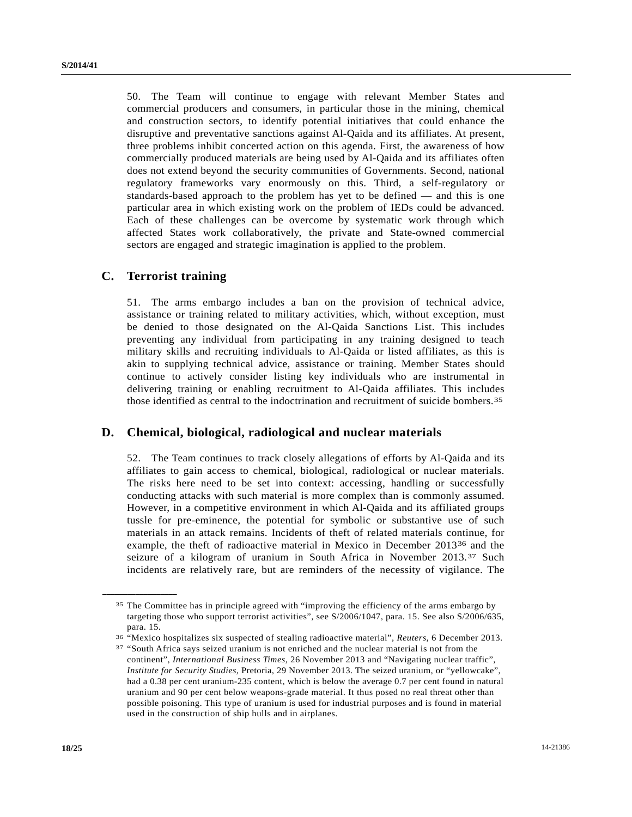50. The Team will continue to engage with relevant Member States and commercial producers and consumers, in particular those in the mining, chemical and construction sectors, to identify potential initiatives that could enhance the disruptive and preventative sanctions against Al-Qaida and its affiliates. At present, three problems inhibit concerted action on this agenda. First, the awareness of how commercially produced materials are being used by Al-Qaida and its affiliates often does not extend beyond the security communities of Governments. Second, national regulatory frameworks vary enormously on this. Third, a self-regulatory or standards-based approach to the problem has yet to be defined — and this is one particular area in which existing work on the problem of IEDs could be advanced. Each of these challenges can be overcome by systematic work through which affected States work collaboratively, the private and State-owned commercial sectors are engaged and strategic imagination is applied to the problem.

### **C. Terrorist training**

<span id="page-17-1"></span><span id="page-17-0"></span>**\_\_\_\_\_\_\_\_\_\_\_\_\_\_\_\_\_\_** 

51. The arms embargo includes a ban on the provision of technical advice, assistance or training related to military activities, which, without exception, must be denied to those designated on the Al-Qaida Sanctions List. This includes preventing any individual from participating in any training designed to teach military skills and recruiting individuals to Al-Qaida or listed affiliates, as this is akin to supplying technical advice, assistance or training. Member States should continue to actively consider listing key individuals who are instrumental in delivering training or enabling recruitment to Al-Qaida affiliates. This includes those identified as central to the indoctrination and recruitment of suicide bombers.[35](#page-17-0)

#### **D. Chemical, biological, radiological and nuclear materials**

52. The Team continues to track closely allegations of efforts by Al-Qaida and its affiliates to gain access to chemical, biological, radiological or nuclear materials. The risks here need to be set into context: accessing, handling or successfully conducting attacks with such material is more complex than is commonly assumed. However, in a competitive environment in which Al-Qaida and its affiliated groups tussle for pre-eminence, the potential for symbolic or substantive use of such materials in an attack remains. Incidents of theft of related materials continue, for example, the theft of radioactive material in Mexico in December 2013<sup>[36](#page-17-1)</sup> and the seizure of a kilogram of uranium in South Africa in November 2013.[3](#page-17-2)7 Such incidents are relatively rare, but are reminders of the necessity of vigilance. The

36 "Mexico hospitalizes six suspected of stealing radioactive material", *Reuters*, 6 December 2013. 37 "South Africa says seized uranium is not enriched and the nuclear material is not from the

<sup>&</sup>lt;sup>35</sup> The Committee has in principle agreed with "improving the efficiency of the arms embargo by targeting those who support terrorist activities", see S/2006/1047, para. 15. See also S/2006/635, para. 15.

<span id="page-17-2"></span>continent", *International Business Times*, 26 November 2013 and "Navigating nuclear traffic", *Institute for Security Studies*, Pretoria, 29 November 2013. The seized uranium, or "yellowcake", had a 0.38 per cent uranium-235 content, which is below the average 0.7 per cent found in natural uranium and 90 per cent below weapons-grade material. It thus posed no real threat other than possible poisoning. This type of uranium is used for industrial purposes and is found in material used in the construction of ship hulls and in airplanes.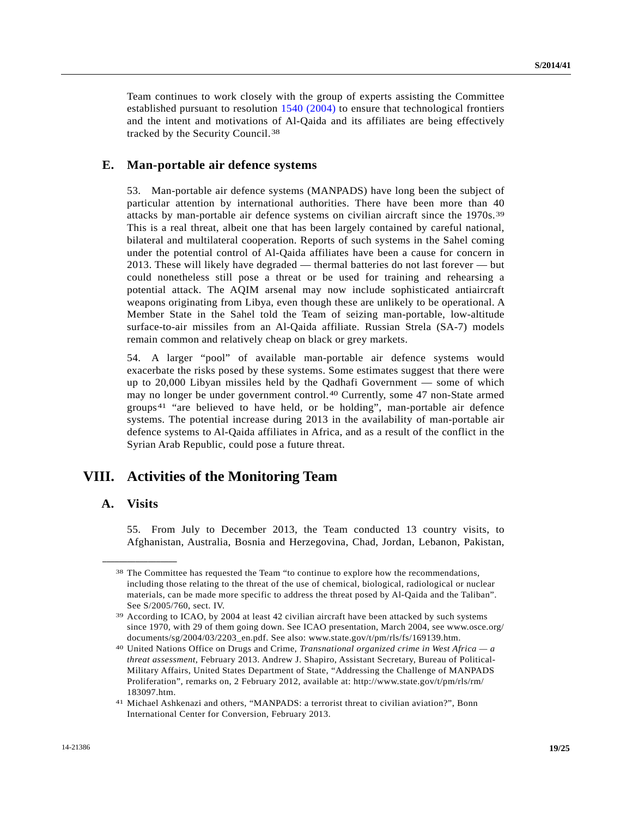Team continues to work closely with the group of experts assisting the Committee established pursuant to resolution [1540 \(2004\)](http://undocs.org/S/RES/1540(2004)) to ensure that technological frontiers and the intent and motivations of Al-Qaida and its affiliates are being effectively tracked by the Security Council.[3](#page-18-0)8

#### **E. Man-portable air defence systems**

53. Man-portable air defence systems (MANPADS) have long been the subject of particular attention by international authorities. There have been more than 40 attacks by man-portable air defence systems on civilian aircraft since the 1970s.[39](#page-18-1) This is a real threat, albeit one that has been largely contained by careful national, bilateral and multilateral cooperation. Reports of such systems in the Sahel coming under the potential control of Al-Qaida affiliates have been a cause for concern in 2013. These will likely have degraded — thermal batteries do not last forever — but could nonetheless still pose a threat or be used for training and rehearsing a potential attack. The AQIM arsenal may now include sophisticated antiaircraft weapons originating from Libya, even though these are unlikely to be operational. A Member State in the Sahel told the Team of seizing man-portable, low-altitude surface-to-air missiles from an Al-Qaida affiliate. Russian Strela (SA-7) models remain common and relatively cheap on black or grey markets.

54. A larger "pool" of available man-portable air defence systems would exacerbate the risks posed by these systems. Some estimates suggest that there were up to 20,000 Libyan missiles held by the Qadhafi Government — some of which may no longer be under government control.[4](#page-18-2)0 Currently, some 47 non-State armed groups[4](#page-18-3)1 "are believed to have held, or be holding", man-portable air defence systems. The potential increase during 2013 in the availability of man-portable air defence systems to Al-Qaida affiliates in Africa, and as a result of the conflict in the Syrian Arab Republic, could pose a future threat.

# **VIII. Activities of the Monitoring Team**

#### **A. Visits**

<span id="page-18-0"></span>**\_\_\_\_\_\_\_\_\_\_\_\_\_\_\_\_\_\_** 

55. From July to December 2013, the Team conducted 13 country visits, to Afghanistan, Australia, Bosnia and Herzegovina, Chad, Jordan, Lebanon, Pakistan,

<sup>38</sup> The Committee has requested the Team "to continue to explore how the recommendations, including those relating to the threat of the use of chemical, biological, radiological or nuclear materials, can be made more specific to address the threat posed by Al-Qaida and the Taliban". See S/2005/760, sect. IV.

<span id="page-18-1"></span><sup>39</sup> According to ICAO, by 2004 at least 42 civilian aircraft have been attacked by such systems since 1970, with 29 of them going down. See ICAO presentation, March 2004, see www.osce.org/ documents/sg/2004/03/2203\_en.pdf. See also: www.state.gov/t/pm/rls/fs/169139.htm.

<span id="page-18-2"></span><sup>40</sup> United Nations Office on Drugs and Crime, *Transnational organized crime in West Africa — a threat assessment*, February 2013. Andrew J. Shapiro, Assistant Secretary, Bureau of Political-Military Affairs, United States Department of State, "Addressing the Challenge of MANPADS Proliferation", remarks on, 2 February 2012, available at: http://www.state.gov/t/pm/rls/rm/ 183097.htm.

<span id="page-18-3"></span><sup>41</sup> Michael Ashkenazi and others, "MANPADS: a terrorist threat to civilian aviation?", Bonn International Center for Conversion, February 2013.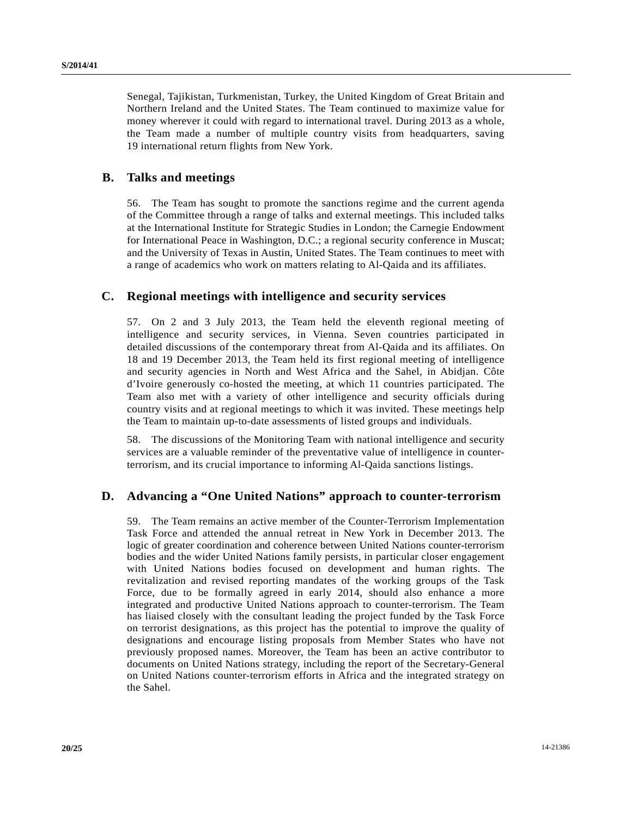Senegal, Tajikistan, Turkmenistan, Turkey, the United Kingdom of Great Britain and Northern Ireland and the United States. The Team continued to maximize value for money wherever it could with regard to international travel. During 2013 as a whole, the Team made a number of multiple country visits from headquarters, saving 19 international return flights from New York.

### **B. Talks and meetings**

56. The Team has sought to promote the sanctions regime and the current agenda of the Committee through a range of talks and external meetings. This included talks at the International Institute for Strategic Studies in London; the Carnegie Endowment for International Peace in Washington, D.C.; a regional security conference in Muscat; and the University of Texas in Austin, United States. The Team continues to meet with a range of academics who work on matters relating to Al-Qaida and its affiliates.

## **C. Regional meetings with intelligence and security services**

57. On 2 and 3 July 2013, the Team held the eleventh regional meeting of intelligence and security services, in Vienna. Seven countries participated in detailed discussions of the contemporary threat from Al-Qaida and its affiliates. On 18 and 19 December 2013, the Team held its first regional meeting of intelligence and security agencies in North and West Africa and the Sahel, in Abidjan. Côte d'Ivoire generously co-hosted the meeting, at which 11 countries participated. The Team also met with a variety of other intelligence and security officials during country visits and at regional meetings to which it was invited. These meetings help the Team to maintain up-to-date assessments of listed groups and individuals.

58. The discussions of the Monitoring Team with national intelligence and security services are a valuable reminder of the preventative value of intelligence in counterterrorism, and its crucial importance to informing Al-Qaida sanctions listings.

# **D. Advancing a "One United Nations" approach to counter-terrorism**

59. The Team remains an active member of the Counter-Terrorism Implementation Task Force and attended the annual retreat in New York in December 2013. The logic of greater coordination and coherence between United Nations counter-terrorism bodies and the wider United Nations family persists, in particular closer engagement with United Nations bodies focused on development and human rights. The revitalization and revised reporting mandates of the working groups of the Task Force, due to be formally agreed in early 2014, should also enhance a more integrated and productive United Nations approach to counter-terrorism. The Team has liaised closely with the consultant leading the project funded by the Task Force on terrorist designations, as this project has the potential to improve the quality of designations and encourage listing proposals from Member States who have not previously proposed names. Moreover, the Team has been an active contributor to documents on United Nations strategy, including the report of the Secretary-General on United Nations counter-terrorism efforts in Africa and the integrated strategy on the Sahel.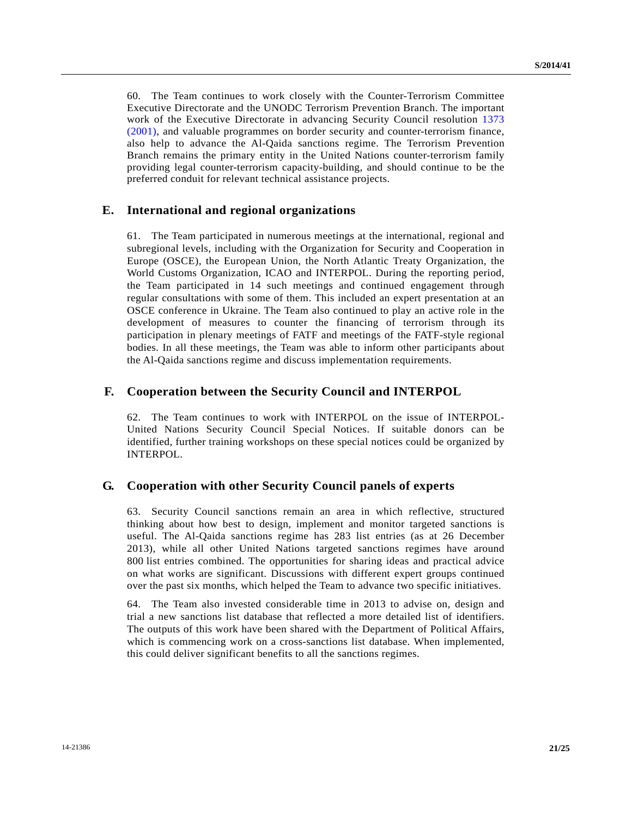60. The Team continues to work closely with the Counter-Terrorism Committee Executive Directorate and the UNODC Terrorism Prevention Branch. The important work of the Executive Directorate in advancing Security Council resolution [1373](http://undocs.org/S/RES/1373(2001))  [\(2001\),](http://undocs.org/S/RES/1373(2001)) and valuable programmes on border security and counter-terrorism finance, also help to advance the Al-Qaida sanctions regime. The Terrorism Prevention Branch remains the primary entity in the United Nations counter-terrorism family providing legal counter-terrorism capacity-building, and should continue to be the preferred conduit for relevant technical assistance projects.

### **E. International and regional organizations**

The Team participated in numerous meetings at the international, regional and subregional levels, including with the Organization for Security and Cooperation in Europe (OSCE), the European Union, the North Atlantic Treaty Organization, the World Customs Organization, ICAO and INTERPOL. During the reporting period, the Team participated in 14 such meetings and continued engagement through regular consultations with some of them. This included an expert presentation at an OSCE conference in Ukraine. The Team also continued to play an active role in the development of measures to counter the financing of terrorism through its participation in plenary meetings of FATF and meetings of the FATF-style regional bodies. In all these meetings, the Team was able to inform other participants about the Al-Qaida sanctions regime and discuss implementation requirements.

#### **F. Cooperation between the Security Council and INTERPOL**

62. The Team continues to work with INTERPOL on the issue of INTERPOL-United Nations Security Council Special Notices. If suitable donors can be identified, further training workshops on these special notices could be organized by INTERPOL.

### **G. Cooperation with other Security Council panels of experts**

63. Security Council sanctions remain an area in which reflective, structured thinking about how best to design, implement and monitor targeted sanctions is useful. The Al-Qaida sanctions regime has 283 list entries (as at 26 December 2013), while all other United Nations targeted sanctions regimes have around 800 list entries combined. The opportunities for sharing ideas and practical advice on what works are significant. Discussions with different expert groups continued over the past six months, which helped the Team to advance two specific initiatives.

64. The Team also invested considerable time in 2013 to advise on, design and trial a new sanctions list database that reflected a more detailed list of identifiers. The outputs of this work have been shared with the Department of Political Affairs, which is commencing work on a cross-sanctions list database. When implemented, this could deliver significant benefits to all the sanctions regimes.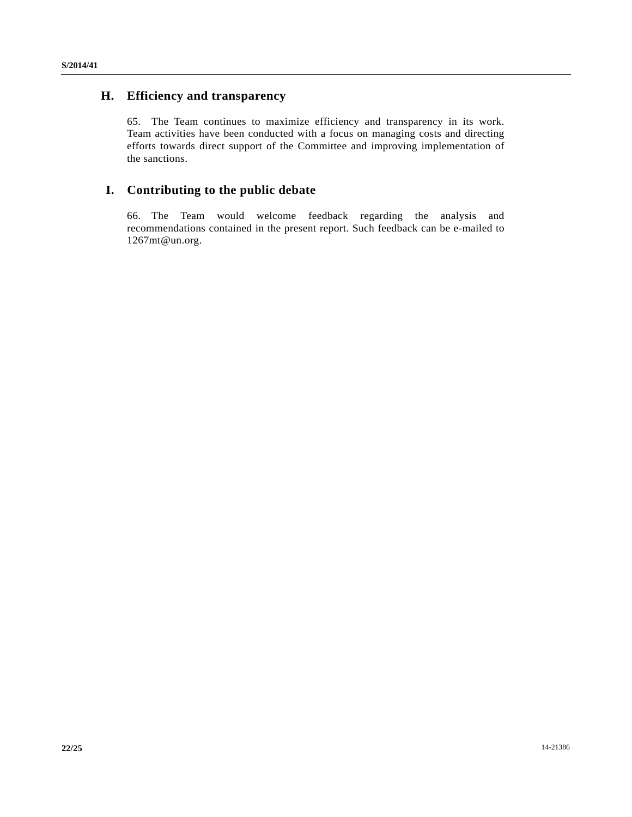# **H. Efficiency and transparency**

65. The Team continues to maximize efficiency and transparency in its work. Team activities have been conducted with a focus on managing costs and directing efforts towards direct support of the Committee and improving implementation of the sanctions.

# **I. Contributing to the public debate**

66. The Team would welcome feedback regarding the analysis and recommendations contained in the present report. Such feedback can be e-mailed to 1267mt@un.org.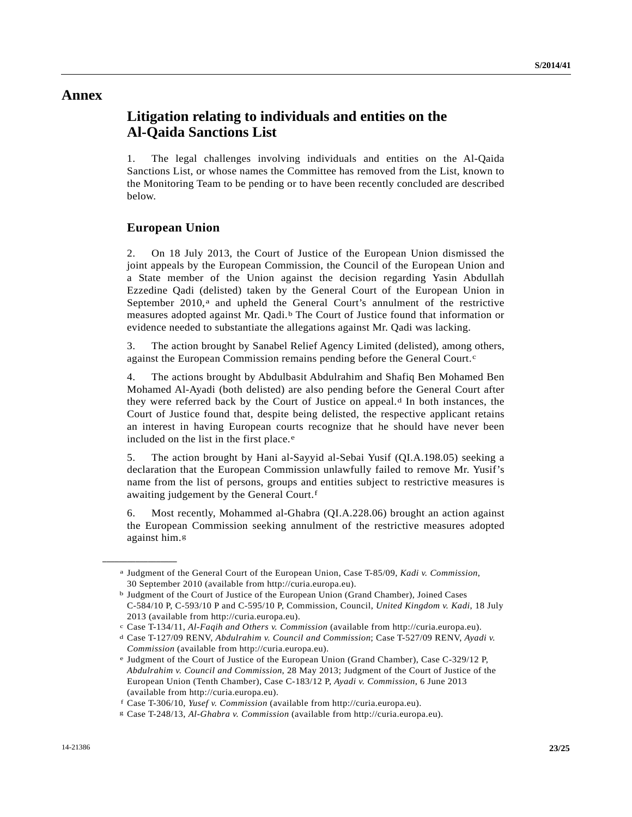## **Annex**

# **Litigation relating to individuals and entities on the Al-Qaida Sanctions List**

1. The legal challenges involving individuals and entities on the Al-Qaida Sanctions List, or whose names the Committee has removed from the List, known to the Monitoring Team to be pending or to have been recently concluded are described below.

### **European Union**

<span id="page-22-1"></span><span id="page-22-0"></span>**\_\_\_\_\_\_\_\_\_\_\_\_\_\_\_\_\_\_** 

2. On 18 July 2013, the Court of Justice of the European Union dismissed the joint appeals by the European Commission, the Council of the European Union and a State member of the Union against the decision regarding Yasin Abdullah Ezzedine Qadi (delisted) taken by the General Court of the European Union in September  $2010$ ,<sup>a</sup> and upheld the General Court's annulment of the restrictive measures adopted against Mr. Qadi.[b](#page-22-1) The Court of Justice found that information or evidence needed to substantiate the allegations against Mr. Qadi was lacking.

3. The action brought by Sanabel Relief Agency Limited (delisted), among others, against the European Commission remains pending before the General Court.<sup>c</sup>

4. The actions brought by Abdulbasit Abdulrahim and Shafiq Ben Mohamed Ben Mohamed Al-Ayadi (both delisted) are also pending before the General Court after they were referre[d](#page-22-3) back by the Court of Justice on appeal. $d$  In both instances, the Court of Justice found that, despite being delisted, the respective applicant retains an interest in having European courts recognize that he should have never been included on th[e](#page-22-4) list in the first place.<sup>e</sup>

5. The action brought by Hani al-Sayyid al-Sebai Yusif (QI.A.198.05) seeking a declaration that the European Commission unlawfully failed to remove Mr. Yusif's name from the list of persons, groups and entities subject to restrictive measures is awaiting judgement by the General Court.<sup>[f](#page-22-5)</sup>

6. Most recently, Mohammed al-Ghabra (QI.A.228.06) brought an action against the European Commission seeking annulment of the restrictive measures adopted against him.[g](#page-22-6)

a Judgment of the General Court of the European Union, Case T-85/09, *Kadi v. Commission*, 30 September 2010 (available from http://curia.europa.eu).

b Judgment of the Court of Justice of the European Union (Grand Chamber), Joined Cases C-584/10 P, C-593/10 P and C-595/10 P, Commission, Council, *United Kingdom v. Kadi*, 18 July 2013 (available from http://curia.europa.eu).

<span id="page-22-3"></span><span id="page-22-2"></span>c Case T-134/11, *Al-Faqih and Others v. Commission* (available from http://curia.europa.eu). d Case T-127/09 RENV, *Abdulrahim v. Council and Commission*; Case T-527/09 RENV, *Ayadi v.* 

*Commission* (available from http://curia.europa.eu).<br>
<sup>e</sup> Judgment of the Court of Justice of the European Union (Grand Chamber), Case C-329/12 P,

<span id="page-22-4"></span>*Abdulrahim v. Council and Commission*, 28 May 2013; Judgment of the Court of Justice of the European Union (Tenth Chamber), Case C-183/12 P, *Ayadi v. Commission*, 6 June 2013 (available from http://curia.europa.eu).

f Case T-306/10, Yusef v. Commission (available from http://curia.europa.eu).

<span id="page-22-6"></span><span id="page-22-5"></span>Case T-306/10, *Yusef v. Commission* (available from http://curia.europa.eu). g Case T-248/13, *Al-Ghabra v. Commission* (available from http://curia.europa.eu).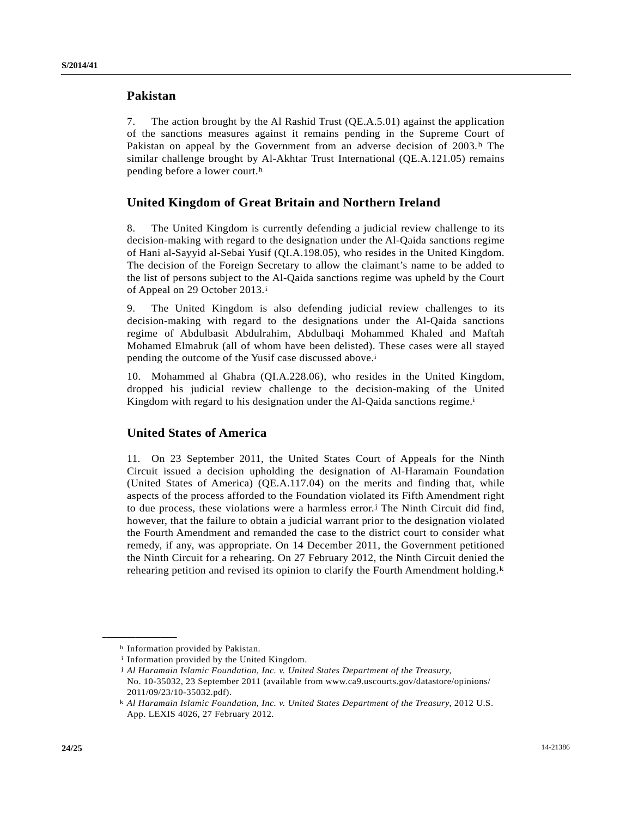### **Pakistan**

7. The action brought by the Al Rashid Trust (QE.A.5.01) against the application of the sanctions measures against it remains pending in the Supreme Court of Pakistan on appeal by t[h](#page-23-0)e Government from an adverse decision of 2003.<sup>h</sup> The similar challenge brought by Al-Akhtar Trust International (QE.A.121.05) remains pending before a lower court.h

## **United Kingdom of Great Britain and Northern Ireland**

8. The United Kingdom is currently defending a judicial review challenge to its decision-making with regard to the designation under the Al-Qaida sanctions regime of Hani al-Sayyid al-Sebai Yusif (QI.A.198.05), who resides in the United Kingdom. The decision of the Foreign Secretary to allow the claimant's name to be added to the list of persons subject to the Al-Qaida sanctions regime was upheld by the Court of Appeal on 29 October 2013.<sup>[i](#page-23-1)</sup>

9. The United Kingdom is also defending judicial review challenges to its decision-making with regard to the designations under the Al-Qaida sanctions regime of Abdulbasit Abdulrahim, Abdulbaqi Mohammed Khaled and Maftah Mohamed Elmabruk (all of whom have been delisted). These cases were all stayed pending the outcome of the Yusif case discussed above.<sup>i</sup>

10. Mohammed al Ghabra (QI.A.228.06), who resides in the United Kingdom, dropped his judicial review challenge to the decision-making of the United Kingdom with regard to his designation under the Al-Qaida sanctions regime.<sup>i</sup>

### **United States of America**

11. On 23 September 2011, the United States Court of Appeals for the Ninth Circuit issued a decision upholding the designation of Al-Haramain Foundation (United States of America) (QE.A.117.04) on the merits and finding that, while aspects of the process afforded to the Foundation violated its Fifth Amendment right to due process, these violations were a harmless error.<sup>[j](#page-23-2)</sup> The Ninth Circuit did find, however, that the failure to obtain a judicial warrant prior to the designation violated the Fourth Amendment and remanded the case to the district court to consider what remedy, if any, was appropriate. On 14 December 2011, the Government petitioned the Ninth Circuit for a rehearing. On 27 February 2012, the Ninth Circuit denied the rehearing petition and revised its opinion to clarify the Fourth Amendment holding. $k$ 

<span id="page-23-1"></span><span id="page-23-0"></span>h Information provided by Pakistan.

<span id="page-23-2"></span>i Information provided by the United Kingdom.

j *Al Haramain Islamic Foundation, Inc. v. United States Department of the Treasury*, No. 10-35032, 23 September 2011 (available from www.ca9.uscourts.gov/datastore/opinions/ 2011/09/23/10-35032.pdf).

<span id="page-23-3"></span>k *Al Haramain Islamic Foundation, Inc. v. United States Department of the Treasury*, 2012 U.S. App. LEXIS 4026, 27 February 2012.